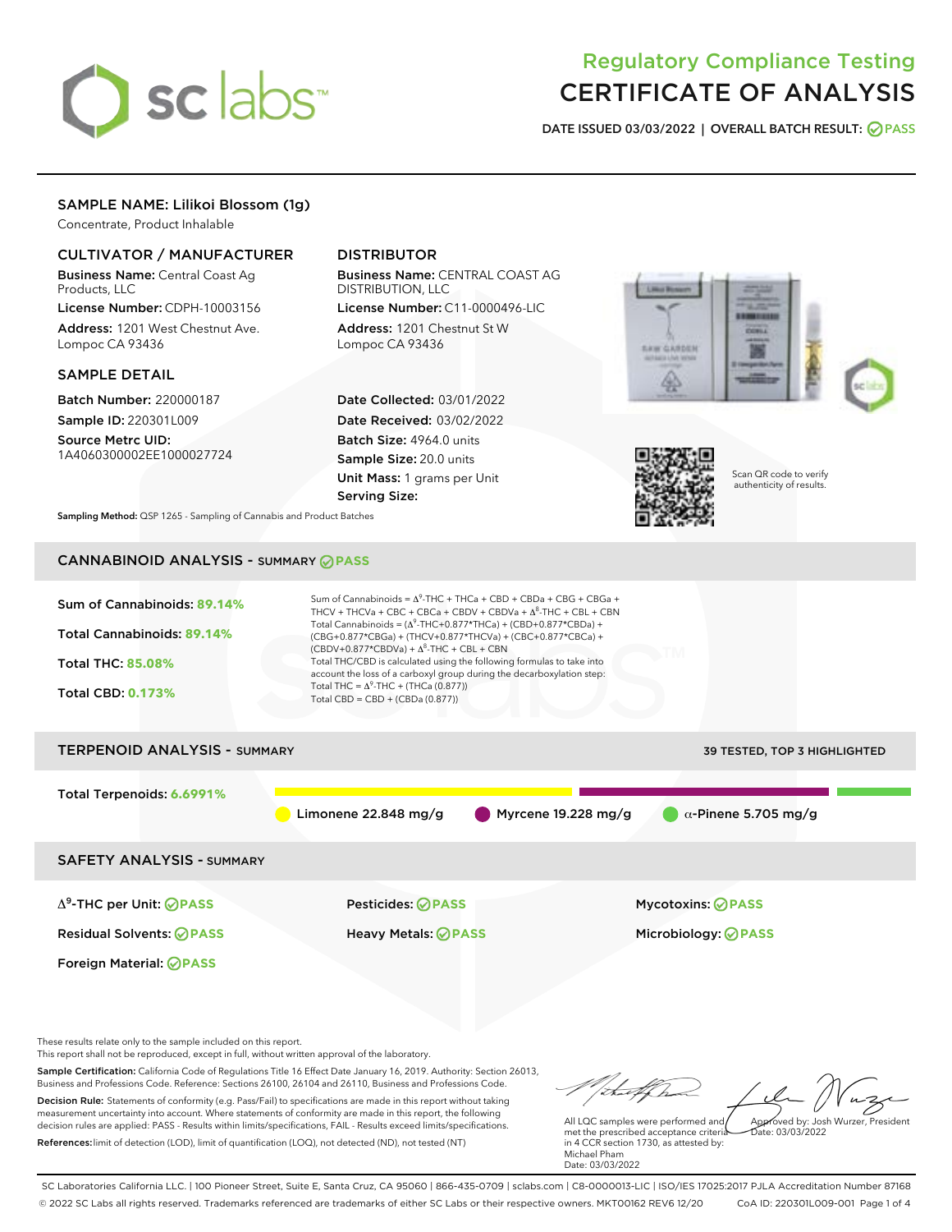# sclabs<sup>\*</sup>

# Regulatory Compliance Testing CERTIFICATE OF ANALYSIS

DATE ISSUED 03/03/2022 | OVERALL BATCH RESULT: @ PASS

# SAMPLE NAME: Lilikoi Blossom (1g)

Concentrate, Product Inhalable

# CULTIVATOR / MANUFACTURER

Business Name: Central Coast Ag Products, LLC

License Number: CDPH-10003156 Address: 1201 West Chestnut Ave. Lompoc CA 93436

# SAMPLE DETAIL

Batch Number: 220000187 Sample ID: 220301L009

Source Metrc UID: 1A4060300002EE1000027724

# DISTRIBUTOR

Business Name: CENTRAL COAST AG DISTRIBUTION, LLC

License Number: C11-0000496-LIC Address: 1201 Chestnut St W Lompoc CA 93436

Date Collected: 03/01/2022 Date Received: 03/02/2022 Batch Size: 4964.0 units Sample Size: 20.0 units Unit Mass: 1 grams per Unit Serving Size:





Scan QR code to verify authenticity of results.

Sampling Method: QSP 1265 - Sampling of Cannabis and Product Batches

# CANNABINOID ANALYSIS - SUMMARY **PASS**



Decision Rule: Statements of conformity (e.g. Pass/Fail) to specifications are made in this report without taking measurement uncertainty into account. Where statements of conformity are made in this report, the following decision rules are applied: PASS - Results within limits/specifications, FAIL - Results exceed limits/specifications. References:limit of detection (LOD), limit of quantification (LOQ), not detected (ND), not tested (NT)

All LQC samples were performed and met the prescribed acceptance criteria in 4 CCR section 1730, as attested by: Michael Pham Date: 03/03/2022 Approved by: Josh Wurzer, President  $ate: 03/03/2022$ 

SC Laboratories California LLC. | 100 Pioneer Street, Suite E, Santa Cruz, CA 95060 | 866-435-0709 | sclabs.com | C8-0000013-LIC | ISO/IES 17025:2017 PJLA Accreditation Number 87168 © 2022 SC Labs all rights reserved. Trademarks referenced are trademarks of either SC Labs or their respective owners. MKT00162 REV6 12/20 CoA ID: 220301L009-001 Page 1 of 4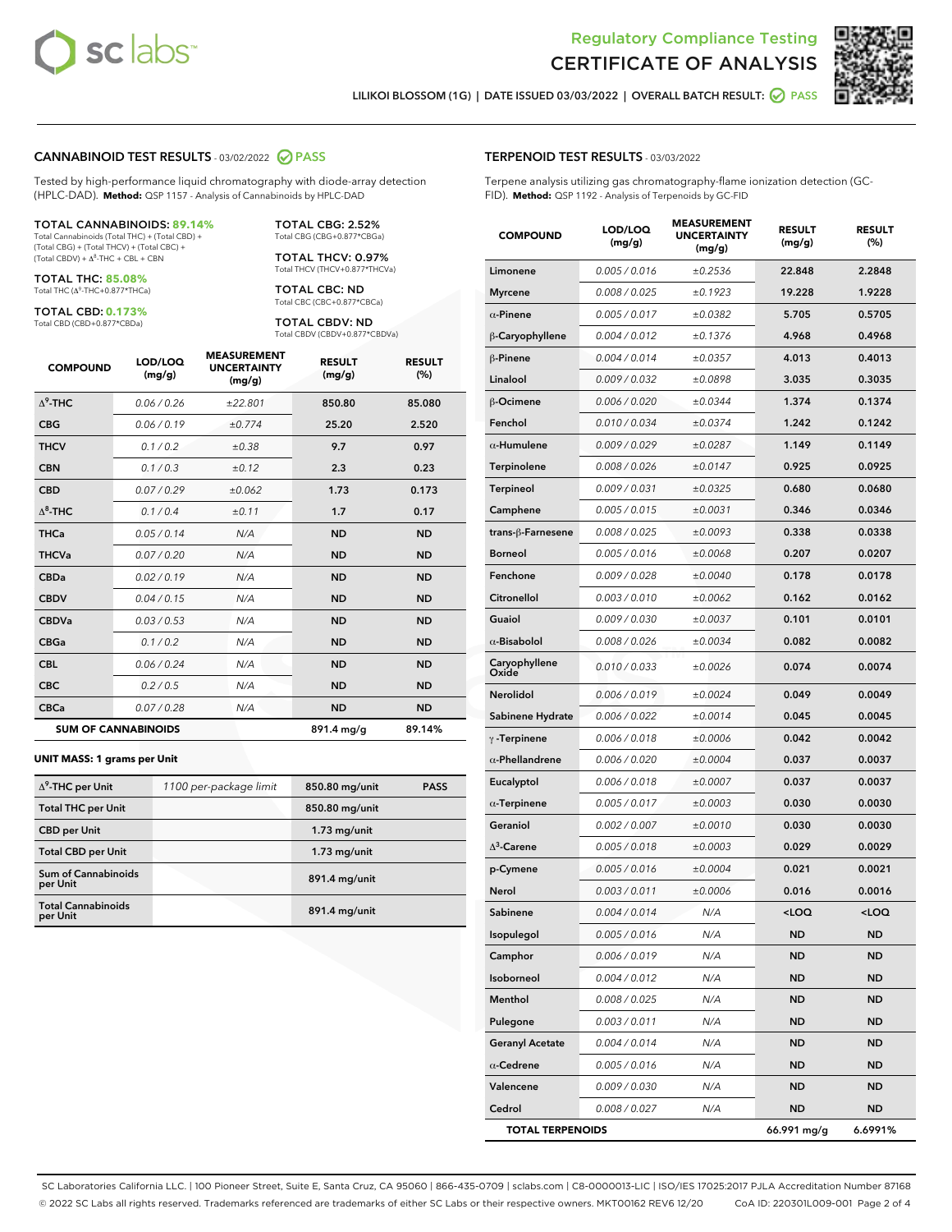



LILIKOI BLOSSOM (1G) | DATE ISSUED 03/03/2022 | OVERALL BATCH RESULT: **● PASS** 

#### CANNABINOID TEST RESULTS - 03/02/2022 2 PASS

Tested by high-performance liquid chromatography with diode-array detection (HPLC-DAD). **Method:** QSP 1157 - Analysis of Cannabinoids by HPLC-DAD

#### TOTAL CANNABINOIDS: **89.14%**

Total Cannabinoids (Total THC) + (Total CBD) + (Total CBG) + (Total THCV) + (Total CBC) +  $(Total CBDV) +  $\Delta^8$ -THC + CBL + CBN$ 

TOTAL THC: **85.08%** Total THC (Δ<sup>9</sup> -THC+0.877\*THCa)

TOTAL CBD: **0.173%**

Total CBD (CBD+0.877\*CBDa)

TOTAL CBG: 2.52% Total CBG (CBG+0.877\*CBGa)

TOTAL THCV: 0.97% Total THCV (THCV+0.877\*THCVa)

TOTAL CBC: ND Total CBC (CBC+0.877\*CBCa)

TOTAL CBDV: ND Total CBDV (CBDV+0.877\*CBDVa)

| <b>COMPOUND</b>  | LOD/LOQ<br>(mg/g)          | <b>MEASUREMENT</b><br><b>UNCERTAINTY</b><br>(mg/g) | <b>RESULT</b><br>(mg/g) | <b>RESULT</b><br>(%) |
|------------------|----------------------------|----------------------------------------------------|-------------------------|----------------------|
| $\Lambda^9$ -THC | 0.06 / 0.26                | ±22.801                                            | 850.80                  | 85.080               |
| <b>CBG</b>       | 0.06/0.19                  | ±0.774                                             | 25.20                   | 2.520                |
| <b>THCV</b>      | 0.1 / 0.2                  | ±0.38                                              | 9.7                     | 0.97                 |
| <b>CBN</b>       | 0.1/0.3                    | ±0.12                                              | 2.3                     | 0.23                 |
| <b>CBD</b>       | 0.07/0.29                  | ±0.062                                             | 1.73                    | 0.173                |
| $\Delta^8$ -THC  | 0.1 / 0.4                  | ±0.11                                              | 1.7                     | 0.17                 |
| <b>THCa</b>      | 0.05/0.14                  | N/A                                                | <b>ND</b>               | <b>ND</b>            |
| <b>THCVa</b>     | 0.07 / 0.20                | N/A                                                | <b>ND</b>               | <b>ND</b>            |
| <b>CBDa</b>      | 0.02/0.19                  | N/A                                                | <b>ND</b>               | <b>ND</b>            |
| <b>CBDV</b>      | 0.04 / 0.15                | N/A                                                | <b>ND</b>               | <b>ND</b>            |
| <b>CBDVa</b>     | 0.03/0.53                  | N/A                                                | <b>ND</b>               | <b>ND</b>            |
| <b>CBGa</b>      | 0.1 / 0.2                  | N/A                                                | <b>ND</b>               | <b>ND</b>            |
| <b>CBL</b>       | 0.06 / 0.24                | N/A                                                | <b>ND</b>               | <b>ND</b>            |
| <b>CBC</b>       | 0.2 / 0.5                  | N/A                                                | <b>ND</b>               | <b>ND</b>            |
| <b>CBCa</b>      | 0.07/0.28                  | N/A                                                | <b>ND</b>               | <b>ND</b>            |
|                  | <b>SUM OF CANNABINOIDS</b> |                                                    | 891.4 mg/g              | 89.14%               |

#### **UNIT MASS: 1 grams per Unit**

| $\Delta^9$ -THC per Unit              | 1100 per-package limit | 850.80 mg/unit | <b>PASS</b> |
|---------------------------------------|------------------------|----------------|-------------|
| <b>Total THC per Unit</b>             |                        | 850.80 mg/unit |             |
| <b>CBD</b> per Unit                   |                        | $1.73$ mg/unit |             |
| <b>Total CBD per Unit</b>             |                        | $1.73$ mg/unit |             |
| Sum of Cannabinoids<br>per Unit       |                        | 891.4 mg/unit  |             |
| <b>Total Cannabinoids</b><br>per Unit |                        | 891.4 mg/unit  |             |

#### TERPENOID TEST RESULTS - 03/03/2022

Terpene analysis utilizing gas chromatography-flame ionization detection (GC-FID). **Method:** QSP 1192 - Analysis of Terpenoids by GC-FID

| <b>COMPOUND</b>         | LOD/LOQ<br>(mg/g) | <b>MEASUREMENT</b><br><b>UNCERTAINTY</b><br>(mg/g) | <b>RESULT</b><br>(mg/g)                         | <b>RESULT</b><br>(%) |
|-------------------------|-------------------|----------------------------------------------------|-------------------------------------------------|----------------------|
| Limonene                | 0.005 / 0.016     | ±0.2536                                            | 22.848                                          | 2.2848               |
| <b>Myrcene</b>          | 0.008 / 0.025     | ±0.1923                                            | 19.228                                          | 1.9228               |
| $\alpha$ -Pinene        | 0.005 / 0.017     | ±0.0382                                            | 5.705                                           | 0.5705               |
| β-Caryophyllene         | 0.004 / 0.012     | ±0.1376                                            | 4.968                                           | 0.4968               |
| $\beta$ -Pinene         | 0.004 / 0.014     | ±0.0357                                            | 4.013                                           | 0.4013               |
| Linalool                | 0.009 / 0.032     | ±0.0898                                            | 3.035                                           | 0.3035               |
| β-Ocimene               | 0.006 / 0.020     | ±0.0344                                            | 1.374                                           | 0.1374               |
| Fenchol                 | 0.010 / 0.034     | ±0.0374                                            | 1.242                                           | 0.1242               |
| $\alpha$ -Humulene      | 0.009/0.029       | ±0.0287                                            | 1.149                                           | 0.1149               |
| Terpinolene             | 0.008 / 0.026     | ±0.0147                                            | 0.925                                           | 0.0925               |
| <b>Terpineol</b>        | 0.009 / 0.031     | ±0.0325                                            | 0.680                                           | 0.0680               |
| Camphene                | 0.005 / 0.015     | ±0.0031                                            | 0.346                                           | 0.0346               |
| trans-ß-Farnesene       | 0.008 / 0.025     | ±0.0093                                            | 0.338                                           | 0.0338               |
| <b>Borneol</b>          | 0.005 / 0.016     | ±0.0068                                            | 0.207                                           | 0.0207               |
| Fenchone                | 0.009 / 0.028     | ±0.0040                                            | 0.178                                           | 0.0178               |
| Citronellol             | 0.003 / 0.010     | ±0.0062                                            | 0.162                                           | 0.0162               |
| Guaiol                  | 0.009 / 0.030     | ±0.0037                                            | 0.101                                           | 0.0101               |
| $\alpha$ -Bisabolol     | 0.008 / 0.026     | ±0.0034                                            | 0.082                                           | 0.0082               |
| Caryophyllene<br>Oxide  | 0.010 / 0.033     | ±0.0026                                            | 0.074                                           | 0.0074               |
| Nerolidol               | 0.006 / 0.019     | ±0.0024                                            | 0.049                                           | 0.0049               |
| Sabinene Hydrate        | 0.006 / 0.022     | ±0.0014                                            | 0.045                                           | 0.0045               |
| $\gamma$ -Terpinene     | 0.006 / 0.018     | ±0.0006                                            | 0.042                                           | 0.0042               |
| $\alpha$ -Phellandrene  | 0.006 / 0.020     | ±0.0004                                            | 0.037                                           | 0.0037               |
| Eucalyptol              | 0.006 / 0.018     | ±0.0007                                            | 0.037                                           | 0.0037               |
| $\alpha$ -Terpinene     | 0.005 / 0.017     | ±0.0003                                            | 0.030                                           | 0.0030               |
| Geraniol                | 0.002 / 0.007     | ±0.0010                                            | 0.030                                           | 0.0030               |
| $\Delta^3$ -Carene      | 0.005 / 0.018     | ±0.0003                                            | 0.029                                           | 0.0029               |
| p-Cymene                | 0.005 / 0.016     | ±0.0004                                            | 0.021                                           | 0.0021               |
| Nerol                   | 0.003 / 0.011     | ±0.0006                                            | 0.016                                           | 0.0016               |
| Sabinene                | 0.004 / 0.014     | N/A                                                | <loq< th=""><th><loq< th=""></loq<></th></loq<> | <loq< th=""></loq<>  |
| Isopulegol              | 0.005 / 0.016     | N/A                                                | ND                                              | ND                   |
| Camphor                 | 0.006 / 0.019     | N/A                                                | <b>ND</b>                                       | ND                   |
| Isoborneol              | 0.004 / 0.012     | N/A                                                | <b>ND</b>                                       | ND                   |
| Menthol                 | 0.008 / 0.025     | N/A                                                | ND                                              | ND                   |
| Pulegone                | 0.003 / 0.011     | N/A                                                | ND                                              | ND                   |
| <b>Geranyl Acetate</b>  | 0.004 / 0.014     | N/A                                                | <b>ND</b>                                       | <b>ND</b>            |
| $\alpha$ -Cedrene       | 0.005 / 0.016     | N/A                                                | ND                                              | <b>ND</b>            |
| Valencene               | 0.009 / 0.030     | N/A                                                | <b>ND</b>                                       | ND                   |
| Cedrol                  | 0.008 / 0.027     | N/A                                                | <b>ND</b>                                       | ND                   |
| <b>TOTAL TERPENOIDS</b> |                   |                                                    | 66.991 mg/g                                     | 6.6991%              |

SC Laboratories California LLC. | 100 Pioneer Street, Suite E, Santa Cruz, CA 95060 | 866-435-0709 | sclabs.com | C8-0000013-LIC | ISO/IES 17025:2017 PJLA Accreditation Number 87168 © 2022 SC Labs all rights reserved. Trademarks referenced are trademarks of either SC Labs or their respective owners. MKT00162 REV6 12/20 CoA ID: 220301L009-001 Page 2 of 4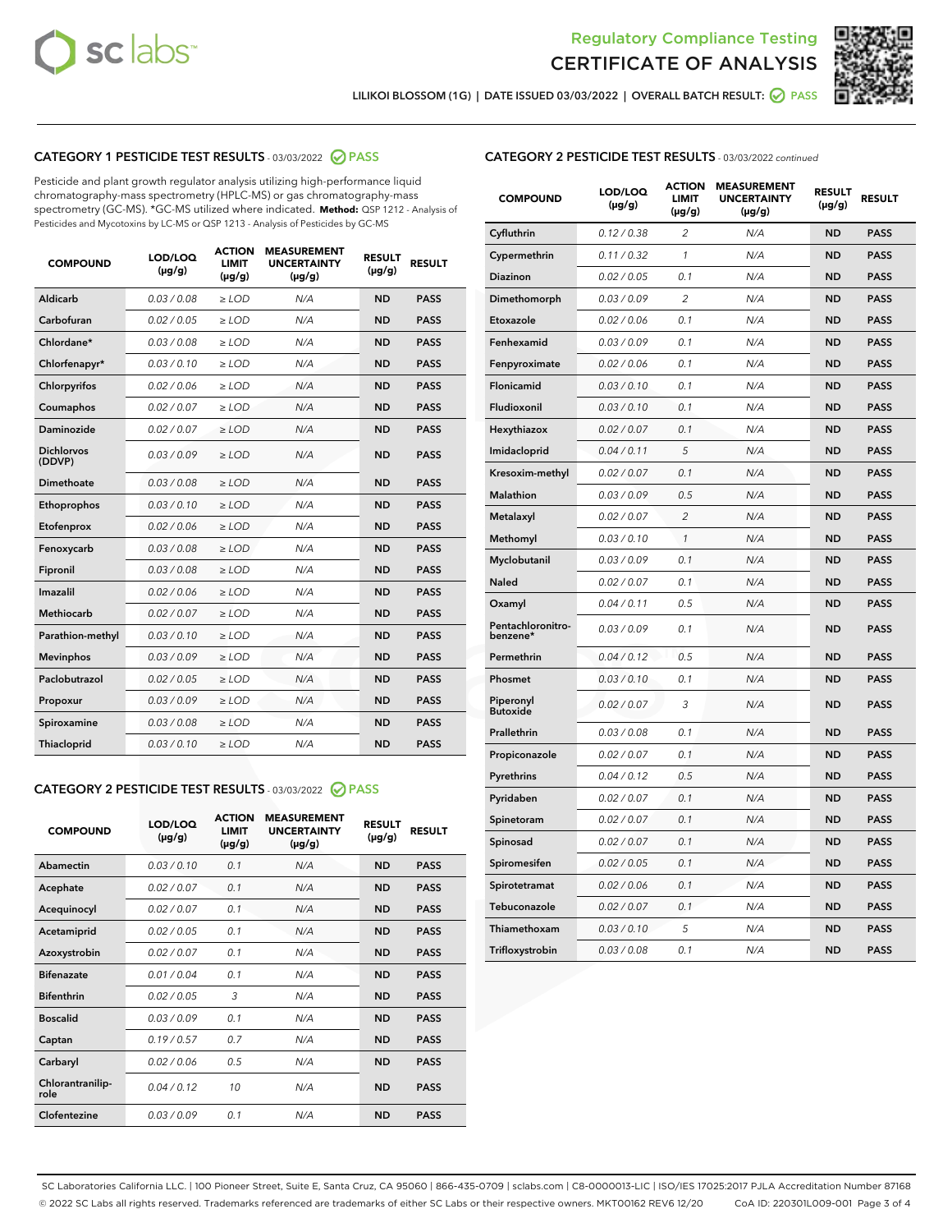



LILIKOI BLOSSOM (1G) | DATE ISSUED 03/03/2022 | OVERALL BATCH RESULT: **⊘** PASS

# CATEGORY 1 PESTICIDE TEST RESULTS - 03/03/2022 2 PASS

Pesticide and plant growth regulator analysis utilizing high-performance liquid chromatography-mass spectrometry (HPLC-MS) or gas chromatography-mass spectrometry (GC-MS). \*GC-MS utilized where indicated. **Method:** QSP 1212 - Analysis of Pesticides and Mycotoxins by LC-MS or QSP 1213 - Analysis of Pesticides by GC-MS

| 0.03 / 0.08<br>Aldicarb<br>$\ge$ LOD<br>N/A<br><b>ND</b><br>Carbofuran<br>0.02/0.05<br>$>$ LOD<br>N/A<br><b>ND</b> | <b>PASS</b><br><b>PASS</b> |
|--------------------------------------------------------------------------------------------------------------------|----------------------------|
|                                                                                                                    |                            |
|                                                                                                                    |                            |
| Chlordane*<br>0.03 / 0.08<br>N/A<br><b>ND</b><br>$\ge$ LOD                                                         | <b>PASS</b>                |
| 0.03/0.10<br><b>ND</b><br>Chlorfenapyr*<br>$\ge$ LOD<br>N/A                                                        | <b>PASS</b>                |
| 0.02/0.06<br>N/A<br><b>ND</b><br>Chlorpyrifos<br>$\ge$ LOD                                                         | <b>PASS</b>                |
| Coumaphos<br>0.02 / 0.07<br>$\geq$ LOD<br>N/A<br><b>ND</b>                                                         | <b>PASS</b>                |
| Daminozide<br>0.02 / 0.07<br>$>$ LOD<br>N/A<br><b>ND</b>                                                           | <b>PASS</b>                |
| <b>Dichlorvos</b><br>0.03 / 0.09<br>N/A<br>$\ge$ LOD<br><b>ND</b><br>(DDVP)                                        | <b>PASS</b>                |
| Dimethoate<br>0.03/0.08<br>N/A<br><b>ND</b><br>$>$ LOD                                                             | <b>PASS</b>                |
| 0.03/0.10<br><b>ND</b><br>Ethoprophos<br>$>$ LOD<br>N/A                                                            | <b>PASS</b>                |
| 0.02 / 0.06<br>N/A<br><b>ND</b><br>Etofenprox<br>$\ge$ LOD                                                         | <b>PASS</b>                |
| 0.03 / 0.08<br>N/A<br><b>ND</b><br>Fenoxycarb<br>$\ge$ LOD                                                         | <b>PASS</b>                |
| 0.03 / 0.08<br>$\ge$ LOD<br>N/A<br><b>ND</b><br>Fipronil                                                           | <b>PASS</b>                |
| Imazalil<br>0.02 / 0.06<br>$>$ LOD<br>N/A<br><b>ND</b>                                                             | <b>PASS</b>                |
| <b>Methiocarb</b><br>0.02 / 0.07<br>$\ge$ LOD<br>N/A<br><b>ND</b>                                                  | <b>PASS</b>                |
| N/A<br><b>ND</b><br>Parathion-methyl<br>0.03/0.10<br>$\ge$ LOD                                                     | <b>PASS</b>                |
| 0.03/0.09<br>$\ge$ LOD<br>N/A<br><b>ND</b><br><b>Mevinphos</b>                                                     | <b>PASS</b>                |
| Paclobutrazol<br>0.02 / 0.05<br>$\ge$ LOD<br>N/A<br><b>ND</b>                                                      | <b>PASS</b>                |
| 0.03/0.09<br>$>$ LOD<br>N/A<br><b>ND</b><br>Propoxur                                                               | <b>PASS</b>                |
| 0.03 / 0.08<br>N/A<br><b>ND</b><br>Spiroxamine<br>$\ge$ LOD                                                        | <b>PASS</b>                |
| <b>ND</b><br>Thiacloprid<br>0.03/0.10<br>$>$ LOD<br>N/A                                                            | <b>PASS</b>                |

# CATEGORY 2 PESTICIDE TEST RESULTS - 03/03/2022 @ PASS

| <b>COMPOUND</b>          | LOD/LOO<br>$(\mu g/g)$ | <b>ACTION</b><br><b>LIMIT</b><br>$(\mu g/g)$ | <b>MEASUREMENT</b><br><b>UNCERTAINTY</b><br>$(\mu g/g)$ | <b>RESULT</b><br>$(\mu g/g)$ | <b>RESULT</b> |
|--------------------------|------------------------|----------------------------------------------|---------------------------------------------------------|------------------------------|---------------|
| Abamectin                | 0.03/0.10              | 0.1                                          | N/A                                                     | <b>ND</b>                    | <b>PASS</b>   |
| Acephate                 | 0.02 / 0.07            | 0.1                                          | N/A                                                     | <b>ND</b>                    | <b>PASS</b>   |
| Acequinocyl              | 0.02/0.07              | 0.1                                          | N/A                                                     | <b>ND</b>                    | <b>PASS</b>   |
| Acetamiprid              | 0.02/0.05              | 0.1                                          | N/A                                                     | <b>ND</b>                    | <b>PASS</b>   |
| Azoxystrobin             | 0.02 / 0.07            | 0.1                                          | N/A                                                     | <b>ND</b>                    | <b>PASS</b>   |
| <b>Bifenazate</b>        | 0.01/0.04              | 0.1                                          | N/A                                                     | <b>ND</b>                    | <b>PASS</b>   |
| <b>Bifenthrin</b>        | 0.02/0.05              | 3                                            | N/A                                                     | <b>ND</b>                    | <b>PASS</b>   |
| <b>Boscalid</b>          | 0.03/0.09              | 0.1                                          | N/A                                                     | <b>ND</b>                    | <b>PASS</b>   |
| Captan                   | 0.19/0.57              | 0.7                                          | N/A                                                     | <b>ND</b>                    | <b>PASS</b>   |
| Carbaryl                 | 0.02/0.06              | 0.5                                          | N/A                                                     | <b>ND</b>                    | <b>PASS</b>   |
| Chlorantranilip-<br>role | 0.04/0.12              | 10                                           | N/A                                                     | <b>ND</b>                    | <b>PASS</b>   |
| Clofentezine             | 0.03/0.09              | 0.1                                          | N/A                                                     | <b>ND</b>                    | <b>PASS</b>   |

# CATEGORY 2 PESTICIDE TEST RESULTS - 03/03/2022 continued

| <b>COMPOUND</b>               | LOD/LOQ<br>(µg/g) | <b>ACTION</b><br><b>LIMIT</b><br>(µg/g) | <b>MEASUREMENT</b><br><b>UNCERTAINTY</b><br>(µg/g) | <b>RESULT</b><br>(µg/g) | <b>RESULT</b> |
|-------------------------------|-------------------|-----------------------------------------|----------------------------------------------------|-------------------------|---------------|
| Cyfluthrin                    | 0.12 / 0.38       | $\overline{c}$                          | N/A                                                | <b>ND</b>               | <b>PASS</b>   |
| Cypermethrin                  | 0.11/0.32         | $\mathcal{I}$                           | N/A                                                | <b>ND</b>               | <b>PASS</b>   |
| <b>Diazinon</b>               | 0.02 / 0.05       | 0.1                                     | N/A                                                | <b>ND</b>               | <b>PASS</b>   |
| Dimethomorph                  | 0.03 / 0.09       | 2                                       | N/A                                                | ND                      | <b>PASS</b>   |
| Etoxazole                     | 0.02 / 0.06       | 0.1                                     | N/A                                                | <b>ND</b>               | <b>PASS</b>   |
| Fenhexamid                    | 0.03/0.09         | 0.1                                     | N/A                                                | <b>ND</b>               | <b>PASS</b>   |
| Fenpyroximate                 | 0.02 / 0.06       | 0.1                                     | N/A                                                | <b>ND</b>               | <b>PASS</b>   |
| Flonicamid                    | 0.03 / 0.10       | 0.1                                     | N/A                                                | ND                      | <b>PASS</b>   |
| Fludioxonil                   | 0.03 / 0.10       | 0.1                                     | N/A                                                | <b>ND</b>               | <b>PASS</b>   |
| Hexythiazox                   | 0.02 / 0.07       | 0.1                                     | N/A                                                | <b>ND</b>               | <b>PASS</b>   |
| Imidacloprid                  | 0.04 / 0.11       | 5                                       | N/A                                                | <b>ND</b>               | <b>PASS</b>   |
| Kresoxim-methyl               | 0.02 / 0.07       | 0.1                                     | N/A                                                | <b>ND</b>               | <b>PASS</b>   |
| <b>Malathion</b>              | 0.03 / 0.09       | 0.5                                     | N/A                                                | <b>ND</b>               | <b>PASS</b>   |
| Metalaxyl                     | 0.02 / 0.07       | $\overline{c}$                          | N/A                                                | <b>ND</b>               | <b>PASS</b>   |
| Methomyl                      | 0.03 / 0.10       | $\mathcal{I}$                           | N/A                                                | <b>ND</b>               | <b>PASS</b>   |
| Myclobutanil                  | 0.03 / 0.09       | 0.1                                     | N/A                                                | <b>ND</b>               | <b>PASS</b>   |
| Naled                         | 0.02 / 0.07       | 0.1                                     | N/A                                                | <b>ND</b>               | <b>PASS</b>   |
| Oxamyl                        | 0.04 / 0.11       | 0.5                                     | N/A                                                | ND                      | <b>PASS</b>   |
| Pentachloronitro-<br>benzene* | 0.03/0.09         | 0.1                                     | N/A                                                | ND                      | <b>PASS</b>   |
| Permethrin                    | 0.04 / 0.12       | 0.5                                     | N/A                                                | <b>ND</b>               | <b>PASS</b>   |
| Phosmet                       | 0.03 / 0.10       | 0.1                                     | N/A                                                | <b>ND</b>               | <b>PASS</b>   |
| Piperonyl<br><b>Butoxide</b>  | 0.02 / 0.07       | 3                                       | N/A                                                | <b>ND</b>               | <b>PASS</b>   |
| Prallethrin                   | 0.03 / 0.08       | 0.1                                     | N/A                                                | <b>ND</b>               | <b>PASS</b>   |
| Propiconazole                 | 0.02 / 0.07       | 0.1                                     | N/A                                                | <b>ND</b>               | <b>PASS</b>   |
| Pyrethrins                    | 0.04 / 0.12       | 0.5                                     | N/A                                                | <b>ND</b>               | <b>PASS</b>   |
| Pyridaben                     | 0.02 / 0.07       | 0.1                                     | N/A                                                | ND                      | <b>PASS</b>   |
| Spinetoram                    | 0.02 / 0.07       | 0.1                                     | N/A                                                | <b>ND</b>               | <b>PASS</b>   |
| Spinosad                      | 0.02 / 0.07       | 0.1                                     | N/A                                                | <b>ND</b>               | <b>PASS</b>   |
| Spiromesifen                  | 0.02 / 0.05       | 0.1                                     | N/A                                                | <b>ND</b>               | <b>PASS</b>   |
| Spirotetramat                 | 0.02 / 0.06       | 0.1                                     | N/A                                                | ND                      | <b>PASS</b>   |
| Tebuconazole                  | 0.02 / 0.07       | 0.1                                     | N/A                                                | <b>ND</b>               | <b>PASS</b>   |
| Thiamethoxam                  | 0.03 / 0.10       | 5                                       | N/A                                                | <b>ND</b>               | <b>PASS</b>   |
| Trifloxystrobin               | 0.03 / 0.08       | 0.1                                     | N/A                                                | <b>ND</b>               | <b>PASS</b>   |

SC Laboratories California LLC. | 100 Pioneer Street, Suite E, Santa Cruz, CA 95060 | 866-435-0709 | sclabs.com | C8-0000013-LIC | ISO/IES 17025:2017 PJLA Accreditation Number 87168 © 2022 SC Labs all rights reserved. Trademarks referenced are trademarks of either SC Labs or their respective owners. MKT00162 REV6 12/20 CoA ID: 220301L009-001 Page 3 of 4